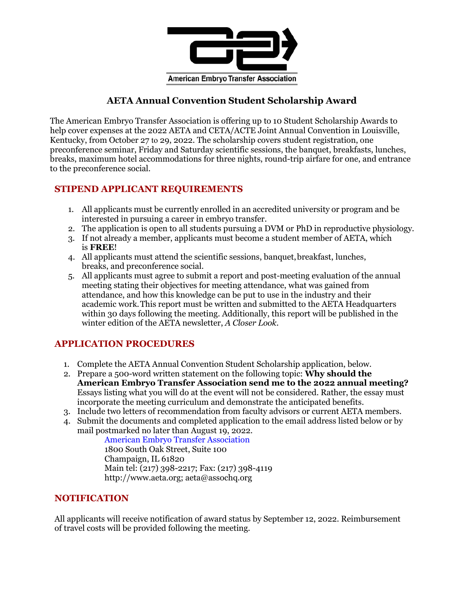

## **AETA Annual Convention Student Scholarship Award**

The American Embryo Transfer Association is offering up to 10 Student Scholarship Awards to help cover expenses at the 2022 AETA and CETA/ACTE Joint Annual Convention in Louisville, Kentucky, from October 27 to 29, 2022. The scholarship covers student registration, one preconference seminar, Friday and Saturday scientific sessions, the banquet, breakfasts, lunches, breaks, maximum hotel accommodations for three nights, round-trip airfare for one, and entrance to the preconference social.

### **STIPEND APPLICANT REQUIREMENTS**

- 1. All applicants must be currently enrolled in an accredited university or program and be interested in pursuing a career in embryo transfer.
- 2. The application is open to all students pursuing a DVM or PhD in reproductive physiology.
- 3. If not already a member, applicants must become a student member of AETA, which is **FREE**!
- 4. All applicants must attend the scientific sessions, banquet,breakfast, lunches, breaks, and preconference social.
- 5. All applicants must agree to submit a report and post-meeting evaluation of the annual meeting stating their objectives for meeting attendance, what was gained from attendance, and how this knowledge can be put to use in the industry and their academic work.This report must be written and submitted to the AETA Headquarters within 30 days following the meeting. Additionally, this report will be published in the winter edition of the AETA newsletter, *A Closer Look.*

## **APPLICATION PROCEDURES**

- 1. Complete the AETA Annual Convention Student Scholarship application, below.
- 2. Prepare a 500-word written statement on the following topic: **Why should the American Embryo Transfer Association send me to the 2022 annual meeting?** Essays listing what you will do at the event will not be considered. Rather, the essay must incorporate the meeting curriculum and demonstrate the anticipated benefits.
- 3. Include two letters of recommendation from faculty advisors or current AETA members.
- 4. Submit the documents and completed application to the email address listed below or by mail postmarked no later than August 19, 2022.

American Embryo Transfer Association 1800 South Oak Street, Suite 100 Champaign, IL 61820 Main tel: (217) 398-2217; Fax: (217) 398-4119 [http://www.aeta.org;](http://www.aeta.org/) [aeta@assochq.org](mailto:aeta@assochq.org)

### **NOTIFICATION**

All applicants will receive notification of award status by September 12, 2022. Reimbursement of travel costs will be provided following the meeting.